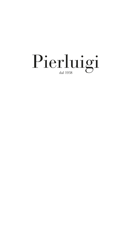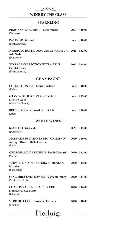

# **WINE BY THE GLASS**

## **SPARKLING**

| PROSECCO DOC BRUT - Terra Vizina<br>(Veneto)                                          | 2021 € 10,00  |
|---------------------------------------------------------------------------------------|---------------|
| PAS DOSÉ - Mosnel<br>(Franciacorta)                                                   | $n.v$ € 10,00 |
| NEBBIOLO ROSÉ DOSAGGIO ZERO DILVA 2015 € 12,00<br>Ada Nada<br>(Piemonte)              |               |
| <b>VINTAGE COLLECTION EXTRA BRUT</b><br>Ca' Del Bosco<br>(Franciacorta)               | 2017 € 18,00  |
| <b>CHAMPAGNE</b>                                                                      |               |
| <b>COLLECTION 242 - Louis Roederer</b><br>(Reims)                                     | n.v. € 18,00  |
| <b>GRAND CRU B.D.B. ZERO DOSAGE</b><br><b>Michel Gonet</b><br>(Côte De Blancs)        | n.v. € 25,00  |
| <b>BRUT ROSÉ - Gallimard Pére et Fils</b><br>(Aube)                                   | n.v. € 20,00  |
| <b>WHITE WINES</b>                                                                    |               |
| <b>GAVI I RISI - Giribaldi</b><br>(Piemonte)                                          | 2020 € 12,00  |
| <b>MALVASIA PUNTINATA BIO "GALLIENO"</b><br>Az. Agr. Riserva Della Cascina<br>(Lazio) | 2020 € 10,00  |
| <b>GRILLO FAMILY &amp; FRIENDS - Feudo Maccari</b><br>(Sicilia)                       | 2020 € 12,00  |
| <b>VERMENTINO DI GALLURA LUMENERA</b><br><b>Murales</b><br>(Sardegna)                 | 2020 € 12,00  |
| SANCERRE CUVÉE ROMBLE - Vignoble Dauny 2020 € 14,00<br>(Valle della Loira)            |               |
| <b>CHABLIS VAU-LIGNEAU 1ER CRU</b><br>Domaine De La Motte<br>(Chablis)                | 2020 € 16,00  |
| VERDEJO CUCÙ - Barco del Corneta<br>(Spagna)                                          | 2020 € 10,00  |
| Pierluigi                                                                             |               |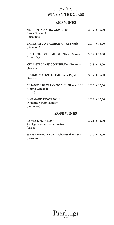

**WINE BY THE GLASS**

### **RED WINES**

| NEBBIOLO D'ALBA GIACULIN<br>Rocca Giovanni<br>(Piemonte)                 | 2019 € 10,00              |
|--------------------------------------------------------------------------|---------------------------|
| <b>BARBARESCO VALEIRANO - Ada Nada</b><br>(Piemonte)                     | 2017 € 16,00              |
| PINOT NERO TURMHOF - TiefenBrunner<br>(Alto Adige)                       | 2019 € 10,00              |
| <b>CHIANTI CLASSICO RISERVA - Pomona</b><br>(Toscana)                    | $2018 \text{ } \in 12,00$ |
| POGGIO VALENTE - Fattoria Le Pupille<br>(Toscana)                        | $2019$ € 15,00            |
| <b>CESANESE DI OLEVANO SUP. GIACOBBE</b><br>Alberto Giacobbe<br>(Lazio)  | 2020 € 10,00              |
| <b>POMMARD PINOT NOIR</b><br><b>Domaine Vincent Latour</b><br>(Borgogna) | 2019 € 20,00              |
| <b>ROSÉ WINES</b>                                                        |                           |
| <b>LA VIA DELLE ROSE</b><br>Az. Agr. Riserva Della Cascina               | $2021$ € 12,00            |

| WHISPERING ANGEL - Chateau d'Esclans | $2020 \text{ } \in 12,00$ |
|--------------------------------------|---------------------------|
| (Provenza)                           |                           |

(Lazio)

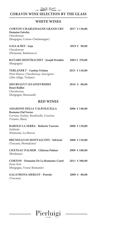

## **CORAVIN WINE SELECTION BY THE GLASS**

### **WHITE WINES**

| <b>CORTON-CHARLEMAGNE GRAND CRU</b><br><b>Domaine Faiveley</b> | 2017 € 130,00 |
|----------------------------------------------------------------|---------------|
| Chardonnay                                                     |               |
| (Borgogna, Corton-Charlemagne)                                 |               |
| GAIA & REY - Gaja                                              | 2019 € 90,00  |
| Chardonnay                                                     |               |
| (Piemonte, Barbaresco)                                         |               |
| <b>BATARD MONTRACHET - Joseph Drouhin</b><br>(Borgogna)        | 2003 € 270,00 |
| TERLANER I° - Cantina Terlano                                  | 2015 € 110,00 |
| Pinot Bianco, Chardonnay, Sauvignon                            |               |
| (Alto Adige, Terlano)                                          |               |
| <b>MEURSAULT LES GENEVRIERES</b>                               | 2016 € 80,00  |
| <b>Henri Boillot</b>                                           |               |
| Chardonnay                                                     |               |
| (Borgogna, Meursault)                                          |               |
| <b>RED WINES</b>                                               |               |
| <b>AMARONE DELLA VALPOLICELLA</b>                              | 2006 € 140,00 |
| Romano Dal Forno                                               |               |
| Corvina, Oseleta, Rondinella, Croatina                         |               |
| (Veneto, Illasi)                                               |               |
| <b>BAROLO LA SERRA - Roberto Voerzio</b>                       | 2008 € 130,00 |
| Nebbiolo                                                       |               |
| (Piemonte, La Morra)                                           |               |
| <b>BRUNELLO DI MONTALCINO - Salvioni</b>                       | 2006 € 110,00 |
| (Toscana, Montalcino)                                          |               |
| <b>CHÂTEAU PALMER - Château Palmer</b>                         | 2009 € 180,00 |
| (Bordeaux)                                                     |               |
| <b>CORTON - Domaine De La Romanée-Conti</b>                    | 2011 € 300,00 |
| Pinot Noir                                                     |               |
| (Borgogna, Vosne-Romanée)                                      |               |
| <b>GALATRONA MERLOT - Petrolo</b>                              | 2009 € 80,00  |
| (Toscana)                                                      |               |

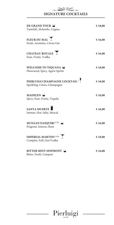**SIGNATURE COCKTAILS**

 $\sqrt{2}$ 

| <b>DE GRAND TOUR</b><br>Tastefull, Alchoolic, Cognac                      | €18,00  |
|---------------------------------------------------------------------------|---------|
| FLEUR DU MAL<br>Fresh, Aromatic, Citrus Gin                               | € 16,00 |
| CHATEAU ROYALE<br>Sour, Fruity, Vodka                                     | € 16,00 |
| WELCOME TO TIQUANA ■<br>Flawoured, Spicy, Agave Spirits                   | € 18,00 |
| PIERLUIGI CHAMPAGNE COCKTAIL <sup>1</sup><br>Sparkling, Citrus, Champagne | € 18,00 |
| MADELEN <b>E</b><br>Spicy, Sour, Fruity, Tequila                          | € 16,00 |
| <b>SANTA MUERTE</b><br>Intense, Hot, Salty, Mezcal                        | € 16,00 |
| <b>SICILIAN DAIQUIRI 5/7/8</b><br>Fragrant, Intense, Rum                  | € 16,00 |
| <b>IMPERIAL MARTINI</b> <sup>1/2/4</sup><br>Complex, Full, Gin/Vodka      | € 18,00 |
| BITTER MINT SINPHONY<br>Bitter, Fresh, Campari                            | € 16,00 |

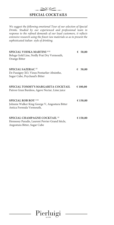

 $\propto$ 

*We suggest the following emotional Tour of our selection of Special Drinks. Studied by our experienced and professional team in response to the refined demands of our loyal customers, it reflects extensive research using the finest raw materials so as to present the sophisticated italian style of drinking.*

| <b>SPECIAL VODKA MARTINI 1/12</b><br>Beluga Gold Line, Noilly Prat Dry Vermouth,<br>Orange Bitter                           | € $50,00$ |
|-----------------------------------------------------------------------------------------------------------------------------|-----------|
| <b>SPECIAL SAZERAC<sup>12</sup></b><br>De Fussigny XO, Vieux Pontarlier Absinthe,<br>Sugar Cube, Peychaud's Bitter          | € $50,00$ |
| SPECIAL TOMMY'S MARGARITA COCKTAIL<br>Patron Gran Burdeos, Agave Nectar, Lime juice                                         | € 100,00  |
| <b>SPECIAL ROB ROY 1/12</b><br>Johnnie Walker King George V, Angostura Bitter<br>Antica Formula Vermouth,                   | € 150,00  |
| SPECIAL CHAMPAGNE COCKTAIL <sup>12</sup><br>Hennessy Paradis, Laurent Perrier Grand Siècle,<br>Angostura Bitter, Sugar Cube | € 150,00  |

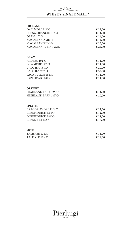# **WHISKY SINGLE MALT 1**

 $\mathbb{Z}$ 

| <b>HIGLAND</b>                               |                    |
|----------------------------------------------|--------------------|
| DALLMORE 12Y.O                               | € 25,00            |
| <b>GLENMORANGIE 10Y.O</b>                    | € 14,00            |
| OBAN 14Y.O                                   | € 16,00            |
| <b>MACALLAN AMBER</b>                        | € 12,00            |
| MACALLAN SIENNA                              | € 16,00            |
| <b>MACALLAN 12 FINE OAK</b>                  | € 25,00            |
| <b>ISLAY</b>                                 |                    |
| ARDBEG 10Y.O                                 | € 14,00            |
| <b>BOWMORE 12Y.O</b>                         | € 14,00            |
| CAOL ILA 18Y.O                               | € 20,00            |
| CAOL ILA 25Y.O                               | € 30,00            |
| <b>LAGAVULLIN 16Y.O</b>                      | € 14,00            |
| LAPRHOAIG 10Y.O                              | € 14,00            |
| <b>ORKNEY</b>                                |                    |
| HIGHLAND PARK 12Y.O                          | € 14,00            |
| HIGHLAND PARK 18Y.O                          | € 20,00            |
|                                              |                    |
| <b>SPEYSIDE</b><br><b>CRAGGANMORE 12 Y.O</b> |                    |
| <b>GLENFIDDICH 12.YO</b>                     | € 12,00<br>€ 12,00 |
| <b>GLENFIDDICH 18Y.O</b>                     | € 18,00            |
| <b>GLENLIVET 15Y.O</b>                       | € 16,00            |
|                                              |                    |
| <b>SKYE</b>                                  |                    |
| TALISKER 10Y.O                               | € 14,00            |
| TALISKER 18Y.O                               | €18,00             |

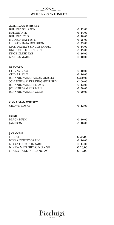

#### **AMERICAN WHISKEY**

| <b>BULLEIT BOURBON</b>      | 612,00  |
|-----------------------------|---------|
| <b>BULLEIT RYE</b>          | € 14,00 |
| <b>BULLEIT 10Y.O</b>        | € 18,00 |
| <b>HUDSON BABY RYE</b>      | € 25,00 |
| <b>HUDSON BABY BOURBON</b>  | € 25,00 |
| JACK DANIEL'S SINGLE BARREL | € 14,00 |
| KNOB CREEK BOURBON          | € 15,00 |
| KNOB CREEK RYE              | € 16,00 |
| <b>MAKERS MARK</b>          | € 10,00 |
|                             |         |

#### **BLENDED**

| CHIVAS 12Y.O                 | € 10,00   |
|------------------------------|-----------|
| CHIVAS 18Y.O                 | € 16,00   |
| JOHNNIE WALKER&SON ODISSEY   | € 250,00  |
| JOHNNIE WALKER KING GEORGE V | € 100,00  |
| JOHNNIE WALKER BLACK         | € 12,00   |
| <b>JOHNNIE WALKER BLUE</b>   | € $50,00$ |
| <b>JOHNNIE WALKER GOLD</b>   | € 20,00   |
|                              |           |

### **CANADIAN WHISKY**

CROWN ROYAL **€ 12,00**

#### **IRISH**

BLACK BUSH **€ 10,00**<br>JAMESON **€ 10,00** JAMESON **€ 10,00**

#### **JAPANESE**

| <b>HIBIKI</b>          | € 25,00 |
|------------------------|---------|
| NIKKA COFFEY GRAIN     | € 16,00 |
| NIKKA FROM THE BARREL  | € 14,00 |
| NIKKA MIYAGIKYO NO AGE | € 20,00 |
| NIKKA TAKETSURU NO AGE | € 17,00 |

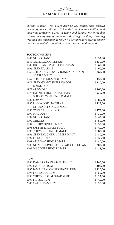### **SAMAROLI COLLECTION 1**

 $\sqrt{2}$ 

*Silvano Samaroli was a legendary whisky bottler, who believed in quality and excellence. He founded the Samaroli bottling and importing company in 1968 in Rome, and became one of the first bottlers to purposefully promote cask strength whiskey. Blending tradition and innovation together, his bottlings have become among the most sought after by whiskey enthusiasts around the world.*

#### **SCOTCH WHISKY**

| 1985 GLEN GRANT                        | € 32,00    |
|----------------------------------------|------------|
| 1984 CAOL ILA, COILLTEAN               | € 130,00   |
| 1989 HIGHLAND PARK, COILLTEAN          | € $60,00$  |
| 1996 GLEN DULLAN                       | 60,00      |
| 1968-45th ANNIVERSARY BUNNAHABHAIN     | € 260,00   |
| <b>SINGLE MALT</b>                     |            |
| 1967 TOMINTOUL SINGLE MALT             | € 120,00   |
| 1973 GLEN GRANT SHERRYWOOD             | € 110,00   |
| <b>SINGLE MALT</b>                     |            |
| 1977 ARDMORE                           | € 160,00   |
| 1974 INFINITY BUNNAHABHAIN             | € 230,00   |
| SHERRY CASK SINGLE MALT                |            |
| 1982 BOWMORE                           | € 80,00    |
| 1983 LINKWOOD NATURAL                  | € 115,00   |
| STRENGHT SINGLE MALT                   |            |
| 1993 OVER THE BORDER                   | € 175,00   |
| 1990 MACDUFF                           | € 30,00    |
| 1992 GLEN GRANT                        | € 45,00    |
| 1992 ORKNEY                            | € 80,00    |
| 1992 SHERRY SINGLE MALT                | € $50,00$  |
| 1993 SPEYSIDE SINGLE MALT              | 640,00     |
| 1995 TORMORE SINGLE MALT               | € 80,00    |
| 1996 GLENTAUCHERS SINGLE MALT          | € 80,00    |
| 1997 ISLE OF JURA                      | 28,00<br>€ |
| 2001 ALI LOAC SINGLE MALT              | 640,00     |
| 2008 NOAGE COVEE 18-51 YEAR, COILLTEAN | € 300,00   |
| <b>2009 MACDUFF SINGLE MALT</b>        | 18,00<br>€ |
|                                        |            |

#### **RUM**

| 1990 DAMERARA VERSAILLES RUM   | € 140,00  |
|--------------------------------|-----------|
| 1992 JAMAICA RUM               | € 100,00  |
| 1993 JAMAICA CASK STRENGTH RUM | € 120,00  |
| 1998 BARBADOS RUM              | € $50,00$ |
| 1998 YHEMON RUM GUADALUPE      | € 22,00   |
| 1999 BRAZIL RUM                | € 40,00   |
| 2005 CARIBBEAN RUM             | € 20,00   |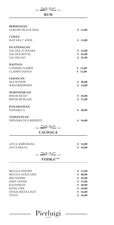

AVUA AMBURANA **€ 14,00**

AVUA PRATA **€ 16,00**

 $\ggg$ 

 **VODKA1/10**

| BELUGA EXPORT           | € 15,00 |
|-------------------------|---------|
| <b>BELUGA GOLD LINE</b> | € 40,00 |
| <b>BELVEDERE</b>        | € 16,00 |
| <b>GREY GOOSE</b>       | € 15,00 |
| <b>KAUFFMAN</b>         | € 20,00 |
| <b>KETEL ONE</b>        | € 16,00 |
| STOLICHNAYA ELIT        | € 16,00 |
| TITO'S                  | € 16,00 |
|                         |         |

Pierluigi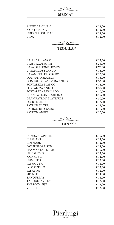| ALIPUS SAN JUAN                                                            | € 14,00 |
|----------------------------------------------------------------------------|---------|
| <b>MONTE LOBOS</b>                                                         | € 12,00 |
| NUESTRA SOLEDAD                                                            | € 14,00 |
| <b>VIDA</b>                                                                | € 12,00 |
| $\mathrel{{\triangle\!\!\triangle}}\mathrel{{\triangle\!\!\!\!\triangle}}$ |         |
| TEQUILA <sup>12</sup>                                                      |         |
|                                                                            |         |
| CALLE 23 BLANCO                                                            | € 12,00 |
| <b>CLASE AZUL JOVEN</b>                                                    | € 35,00 |
| <b>CASA DRAGONES JOVEN</b>                                                 | €70,00  |
| CASAMIGOS BLANCO                                                           | € 16,00 |
| CASAMIGOS REPOSADO                                                         | € 16,00 |
| DON JULIO BLANCO                                                           | € 16,00 |
| DON JULIO 1942 EXTRA ANEJO                                                 | € 35,00 |
| FORTALEZA BLANCO                                                           | € 16,00 |
| FORTALEZA ANEJO                                                            | € 30,00 |
| FORTALEZA REPOSADO                                                         | € 20,00 |
| <b>GRAN PATRON BOURDEOS</b>                                                | €75,00  |
| <b>GRAN PATRON PLATINUM</b>                                                | € 30,00 |
| <b>OCHO BLANCO</b>                                                         | € 12,00 |
| PATRON SILVER                                                              | € 15,00 |
| PATRON REPOSADO                                                            | € 18,00 |
| PATRON ANEJO                                                               | € 20,00 |

**MEZCAL**

 $\sqrt{2}$ 

 $\mathbf{r}$ 

 **GIN 1/9/11**

| <b>BOMBAY SAPPHIRE</b> | € 10,00 |
|------------------------|---------|
| <b>ELEPHANT</b>        | € 12,00 |
| <b>GIN MARE</b>        | € 12,00 |
| <b>GVINE FLORAISON</b> | € 12,00 |
| HAYMAN'S OLD TOM       | € 10,00 |
| <b>HENDRICK'S</b>      | € 12,00 |
| <b>MONKEY 47</b>       | € 14,00 |
| <b>NUMBER 3</b>        | € 12,00 |
| <b>PLYMOUTH</b>        | € 12,00 |
| PORTOBELLO             | € 12,00 |
| <b>SABATINI</b>        | € 12,00 |
| <b>SIPSMITH</b>        | € 14,00 |
| <b>TANQUERAY</b>       | € 12,00 |
| <b>TANQUERAY TEN</b>   | € 12,00 |
| THE BOTANIST           | € 14,00 |
| VII HILLS              | € 12,00 |
|                        |         |

Pierluigi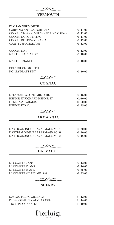

# **VERMOUTH**

| <b>ITALIAN VERMOUTH</b>                               |        |                      |
|-------------------------------------------------------|--------|----------------------|
| CARPANO ANTICA FORMULA                                | €      | 11,00                |
| COCCHI STORICO VERMOUTH DI TORINO                     | €      | 11,00                |
| COCCHI DOPO TEATRO                                    | €      | 11,00                |
| COCCHI RISERVA VENARIA                                |        | 612,00               |
| <b>GRAN LUSSO MARTINI</b>                             |        | 612,00               |
| <b>COCCHI DRY</b>                                     |        | € 12,00              |
| <b>MARTINI EXTRA DRY</b>                              | €      | 10,00                |
| MARTINI BIANCO                                        | €      | 10,00                |
| <b>FRENCH VERMOUTH</b>                                |        |                      |
| NOILLY PRATT DRY                                      | €      | 10,00                |
| $\rightarrow$                                         |        |                      |
| <b>COGNAC</b>                                         |        |                      |
|                                                       |        |                      |
| DELAMAIN X.O. PREMIER CRU                             |        | € 16,00              |
| HENNESSY RICHARD HENNESSY<br><b>HENNESSY PARADIS</b>  |        | € 350,00<br>€150,00  |
| HENNESSY X.O.                                         |        | € 35,00              |
| $\sim$                                                |        |                      |
| <b>ARMAGNAC</b>                                       |        |                      |
|                                                       |        |                      |
| DARTIGALONGUE BAS ARMAGNAC '79                        |        |                      |
| DARTIGALONGUE BAS ARMAGNAC '89                        |        | € 30,00<br>$E$ 20,00 |
| DARTIGALONGUE BAS ARMAGNAC '96                        | €      | 15,00                |
|                                                       |        |                      |
| ヘク                                                    |        |                      |
| <b>CALVADOS</b>                                       |        |                      |
|                                                       |        |                      |
| LE COMPTE 5 ANS                                       | €      | 12,00                |
| LE COMPTE 12 ANS<br>LE COMPTE 25 ANS                  | €      | 16,00<br>€ 35,00     |
| LE COMPTE MILLÉSIMÉ 1988                              |        | € 55,00              |
|                                                       |        |                      |
|                                                       |        |                      |
| <b>SHERRY</b>                                         |        |                      |
|                                                       |        |                      |
| LUSTAU PEDRO XIMENEZ                                  | €      | 12,00                |
| PEDRO XIMENEX ALVEAR 1998<br><b>TIO PEPE GONZALES</b> | €<br>€ | 14,00<br>10,00       |
|                                                       |        |                      |
| Pierluigi                                             |        |                      |
|                                                       |        |                      |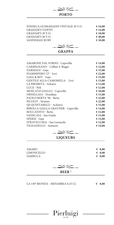

| FONSECA GUIMARAENS VINTAGE 20 Y.O. | € 16,00 |
|------------------------------------|---------|
| <b>GRAHAM'S TAWNY</b>              | € 14,00 |
| GRAHAM'S 20 Y.O.                   | € 18,00 |
| GRAHAM'S 40 Y.O.                   | € 40,00 |
| <b>SANDEMAN RUBY</b>               | € 10,00 |
|                                    |         |

| <b>AMARONE DAL FORNO - Capovilla</b> | € 14,00 |
|--------------------------------------|---------|
| CARMIGNANO - Colline S. Biagio       | € 12,00 |
| DARMAGI - Gaja                       | € 15,00 |
| FIAMMIFERO 72° - Levi                | € 22,00 |
| GAIA & REY - Gaja                    | € 15,00 |
| <b>GENTILE ALLA CAMOMILLA - Levi</b> | € 12,00 |
| LA PROIBITA - Schiavo                | € 13,00 |
| LUCE - Poli                          | € 12,00 |
| MOSCATO GIALLO - Capovilla           | € 10,00 |
| ORNELLAIA - Ornellaia                | € 15,00 |
| PAOLO BERTA '96 - Berta              | € 22,00 |
| PICOLIT - Nonino                     | € 22,00 |
| QS QUINTARELLI - Achiavo             | € 15,00 |
| RIBOLLA GIALLA GRAVNER - Capovilla   | € 14,00 |
| ROCCANIVO - Berta                    | € 12,00 |
| SASSICAIA - San Guido                | € 15,00 |
| SPERSS - Gaja                        | € 15,00 |
| STRAVECCHIA - San Leonardo           | € 12,00 |
| TIGNANELLO - Antinori                | € 14,00 |
|                                      |         |



## **LIQUEURS**

 $\begin{array}{ll}\n\text{AMARO} & \text{\textsterling} 8,00 \\
\text{LIMONCELLO} & \text{\textsterling} 8,00\n\end{array}$  $\begin{array}{ll}\n\text{LIMONCELLO} & \text{\LEMONCELLO} \\
\text{SAMBUCA} & \text{\LEMONCA}\n\end{array}$  $SAMBUCA$ 



LA 150° BIONDA - MENABREA 0,33 CL $\qquad \qquad \in \textbf{8,00}$ 

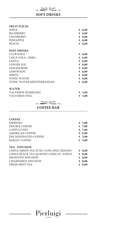

# **SOFT DRINKS**

### **FRUIT JUICES**

| <b>APPLE</b>              |   | 6,00   |
|---------------------------|---|--------|
| <b>BLUEBERRY</b>          |   | 6,00   |
| <b>CRANBERRY</b>          | € | 6,00   |
| <b>PINEAPPLE</b>          | € | 6,00   |
| <b>PEACH</b>              |   | € 6,00 |
| <b>SOFT DRINKS</b>        |   |        |
| CLUB SODA                 | € | 6,00   |
| COCA COLA / ZERO          |   | 6,00   |
| <b>FANTA</b>              |   | € 6,00 |
| <b>GINGER ALE</b>         |   | € 6,00 |
| <b>GINGER BEER</b>        |   | 6,00   |
| <b>LEMONADE</b>           | € | 6,00   |
| <b>SPRITE</b>             | € | 6,00   |
| <b>TONIC WATER</b>        |   | € 6,00 |
| TONIC WATER MEDITERRANEAN | € | 6,00   |
|                           |   |        |

### **WATER**

VALVERDE SPARKLING **€ 5,00 VALVERDE STILL** 

 $\sum\frac{1}{2}$ 

**COFFEE BAR**

| <b>COFFEE</b>                           |   |                 |
|-----------------------------------------|---|-----------------|
| <b>ESPRESSO</b>                         |   | $\epsilon$ 5,00 |
| <b>DOUBLE COFFEE</b>                    |   | € 7,00          |
| <b>CAPPUCCINO</b>                       |   | € 7,00          |
| <b>AMERICAN COFFEE</b>                  |   | 6,00            |
| DECAFFEINATED COFFEE                    |   | € $5,00$        |
| <b>BARLEY COFFEE</b>                    |   | € 5,00          |
| <b>TEA - INFUSION</b>                   |   |                 |
| CHINA GREEN TEA XI HU LONG JING ZEJIANG |   | $\epsilon$ 8,00 |
| CHINA BLACK TEA QJ HONG GONG FU ANHUI   |   | \$.00           |
| DIGESTIVE INFUSION                      |   | \$.00           |
| CHAMOMILE INFUSION                      |   | 6,8,00          |
| FRESH MINT TEA                          | € | 8,00            |